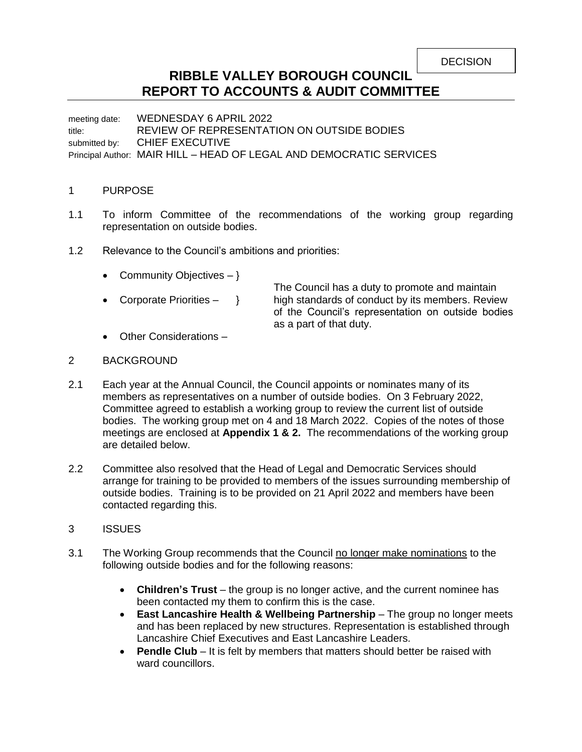**DECISION** 

# **RIBBLE VALLEY BOROUGH COUNCIL REPORT TO ACCOUNTS & AUDIT COMMITTEE**

meeting date: WEDNESDAY 6 APRIL 2022 title: REVIEW OF REPRESENTATION ON OUTSIDE BODIES submitted by: CHIEF EXECUTIVE Principal Author: MAIR HILL – HEAD OF LEGAL AND DEMOCRATIC SERVICES

### 1 PURPOSE

- 1.1 To inform Committee of the recommendations of the working group regarding representation on outside bodies.
- 1.2 Relevance to the Council's ambitions and priorities:
	- Community Objectives  $-$  }
	-

The Council has a duty to promote and maintain • Corporate Priorities  $-$  } high standards of conduct by its members. Review of the Council's representation on outside bodies as a part of that duty.

Other Considerations –

#### 2 BACKGROUND

- 2.1 Each year at the Annual Council, the Council appoints or nominates many of its members as representatives on a number of outside bodies. On 3 February 2022, Committee agreed to establish a working group to review the current list of outside bodies. The working group met on 4 and 18 March 2022. Copies of the notes of those meetings are enclosed at **Appendix 1 & 2.** The recommendations of the working group are detailed below.
- 2.2 Committee also resolved that the Head of Legal and Democratic Services should arrange for training to be provided to members of the issues surrounding membership of outside bodies. Training is to be provided on 21 April 2022 and members have been contacted regarding this.
- 3 ISSUES
- 3.1 The Working Group recommends that the Council no longer make nominations to the following outside bodies and for the following reasons:
	- **Children's Trust** the group is no longer active, and the current nominee has been contacted my them to confirm this is the case.
	- **East Lancashire Health & Wellbeing Partnership** The group no longer meets and has been replaced by new structures. Representation is established through Lancashire Chief Executives and East Lancashire Leaders.
	- **Pendle Club** It is felt by members that matters should better be raised with ward councillors.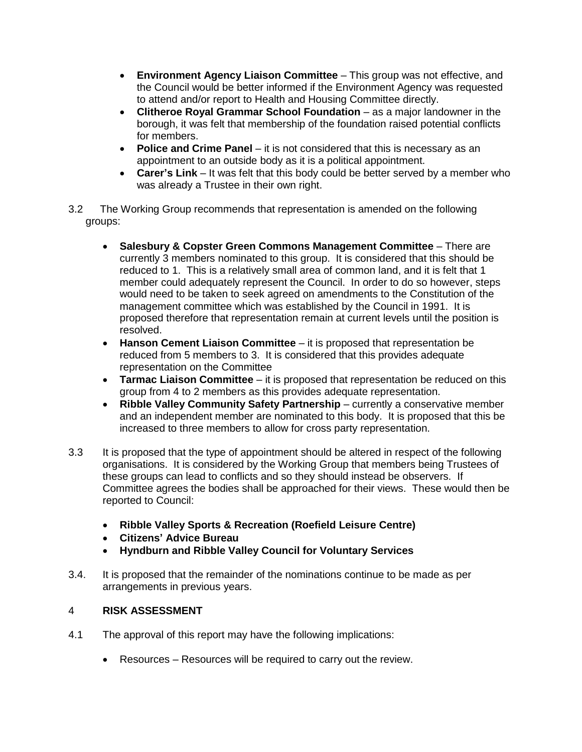- **Environment Agency Liaison Committee**  This group was not effective, and the Council would be better informed if the Environment Agency was requested to attend and/or report to Health and Housing Committee directly.
- **Clitheroe Royal Grammar School Foundation** as a major landowner in the borough, it was felt that membership of the foundation raised potential conflicts for members.
- **Police and Crime Panel**  it is not considered that this is necessary as an appointment to an outside body as it is a political appointment.
- **Carer's Link** It was felt that this body could be better served by a member who was already a Trustee in their own right.
- 3.2 The Working Group recommends that representation is amended on the following groups:
	- **Salesbury & Copster Green Commons Management Committee** There are currently 3 members nominated to this group. It is considered that this should be reduced to 1. This is a relatively small area of common land, and it is felt that 1 member could adequately represent the Council. In order to do so however, steps would need to be taken to seek agreed on amendments to the Constitution of the management committee which was established by the Council in 1991. It is proposed therefore that representation remain at current levels until the position is resolved.
	- **Hanson Cement Liaison Committee**  it is proposed that representation be reduced from 5 members to 3. It is considered that this provides adequate representation on the Committee
	- **Tarmac Liaison Committee**  it is proposed that representation be reduced on this group from 4 to 2 members as this provides adequate representation.
	- **Ribble Valley Community Safety Partnership** currently a conservative member and an independent member are nominated to this body. It is proposed that this be increased to three members to allow for cross party representation.
- 3.3 It is proposed that the type of appointment should be altered in respect of the following organisations. It is considered by the Working Group that members being Trustees of these groups can lead to conflicts and so they should instead be observers. If Committee agrees the bodies shall be approached for their views. These would then be reported to Council:
	- **Ribble Valley Sports & Recreation (Roefield Leisure Centre)**
	- **Citizens' Advice Bureau**
	- **Hyndburn and Ribble Valley Council for Voluntary Services**
- 3.4. It is proposed that the remainder of the nominations continue to be made as per arrangements in previous years.

## 4 **RISK ASSESSMENT**

- 4.1 The approval of this report may have the following implications:
	- Resources Resources will be required to carry out the review.